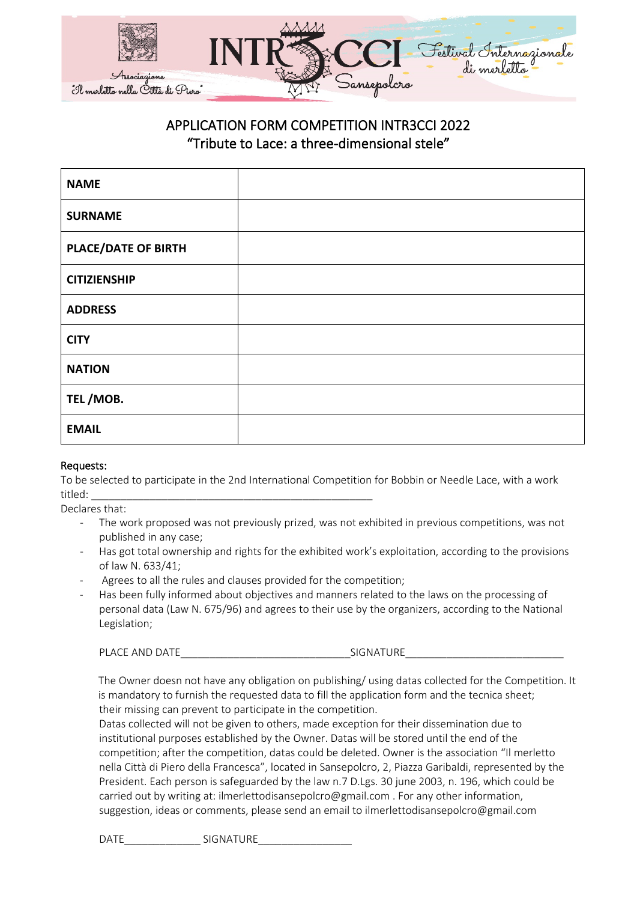

## APPLICATION FORM COMPETITION INTR3CCI 2022 "Tribute to Lace: a three-dimensional stele"

| <b>NAME</b>                |  |
|----------------------------|--|
| <b>SURNAME</b>             |  |
| <b>PLACE/DATE OF BIRTH</b> |  |
| <b>CITIZIENSHIP</b>        |  |
| <b>ADDRESS</b>             |  |
| <b>CITY</b>                |  |
| <b>NATION</b>              |  |
| TEL/MOB.                   |  |
| <b>EMAIL</b>               |  |

## Requests:

To be selected to participate in the 2nd International Competition for Bobbin or Needle Lace, with a work titled: \_\_\_\_\_\_\_\_\_\_\_\_\_\_\_\_\_\_\_\_\_\_\_\_\_\_\_\_\_\_\_\_\_\_\_\_\_\_\_\_\_\_\_\_\_\_\_\_

Declares that:

- The work proposed was not previously prized, was not exhibited in previous competitions, was not published in any case;
- Has got total ownership and rights for the exhibited work's exploitation, according to the provisions of law N. 633/41;
- Agrees to all the rules and clauses provided for the competition;
- Has been fully informed about objectives and manners related to the laws on the processing of personal data (Law N. 675/96) and agrees to their use by the organizers, according to the National Legislation;

PLACE AND DATE THE SIGNATURE SIGNATURE

The Owner doesn not have any obligation on publishing/ using datas collected for the Competition. It is mandatory to furnish the requested data to fill the application form and the tecnica sheet; their missing can prevent to participate in the competition.

Datas collected will not be given to others, made exception for their dissemination due to institutional purposes established by the Owner. Datas will be stored until the end of the competition; after the competition, datas could be deleted. Owner is the association "Il merletto nella Città di Piero della Francesca", located in Sansepolcro, 2, Piazza Garibaldi, represented by the President. Each person is safeguarded by the law n.7 D.Lgs. 30 june 2003, n. 196, which could be carried out by writing at: ilmerlettodisansepolcro@gmail.com . For any other information, suggestion, ideas or comments, please send an email to ilmerlettodisansepolcro@gmail.com

DATE SIGNATURE